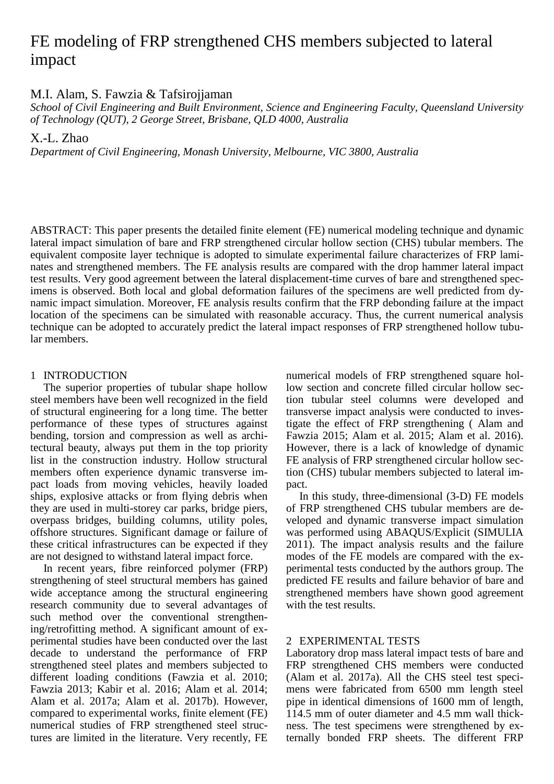# FE modeling of FRP strengthened CHS members subjected to lateral impact

M.I. Alam, S. Fawzia & Tafsirojjaman

*School of Civil Engineering and Built Environment, Science and Engineering Faculty, Queensland University of Technology (QUT), 2 George Street, Brisbane, QLD 4000, Australia*

X.-L. Zhao

*Department of Civil Engineering, Monash University, Melbourne, VIC 3800, Australia*

ABSTRACT: This paper presents the detailed finite element (FE) numerical modeling technique and dynamic lateral impact simulation of bare and FRP strengthened circular hollow section (CHS) tubular members. The equivalent composite layer technique is adopted to simulate experimental failure characterizes of FRP laminates and strengthened members. The FE analysis results are compared with the drop hammer lateral impact test results. Very good agreement between the lateral displacement-time curves of bare and strengthened specimens is observed. Both local and global deformation failures of the specimens are well predicted from dynamic impact simulation. Moreover, FE analysis results confirm that the FRP debonding failure at the impact location of the specimens can be simulated with reasonable accuracy. Thus, the current numerical analysis technique can be adopted to accurately predict the lateral impact responses of FRP strengthened hollow tubular members.

# 1 INTRODUCTION

The superior properties of tubular shape hollow steel members have been well recognized in the field of structural engineering for a long time. The better performance of these types of structures against bending, torsion and compression as well as architectural beauty, always put them in the top priority list in the construction industry. Hollow structural members often experience dynamic transverse impact loads from moving vehicles, heavily loaded ships, explosive attacks or from flying debris when they are used in multi-storey car parks, bridge piers, overpass bridges, building columns, utility poles, offshore structures. Significant damage or failure of these critical infrastructures can be expected if they are not designed to withstand lateral impact force.

In recent years, fibre reinforced polymer (FRP) strengthening of steel structural members has gained wide acceptance among the structural engineering research community due to several advantages of such method over the conventional strengthening/retrofitting method. A significant amount of experimental studies have been conducted over the last decade to understand the performance of FRP strengthened steel plates and members subjected to different loading conditions (Fawzia et al. 2010; Fawzia 2013; Kabir et al. 2016; Alam et al. 2014; Alam et al. 2017a; Alam et al. 2017b). However, compared to experimental works, finite element (FE) numerical studies of FRP strengthened steel structures are limited in the literature. Very recently, FE

numerical models of FRP strengthened square hollow section and concrete filled circular hollow section tubular steel columns were developed and transverse impact analysis were conducted to investigate the effect of FRP strengthening ( Alam and Fawzia 2015; Alam et al. 2015; Alam et al. 2016). However, there is a lack of knowledge of dynamic FE analysis of FRP strengthened circular hollow section (CHS) tubular members subjected to lateral impact.

In this study, three-dimensional (3-D) FE models of FRP strengthened CHS tubular members are developed and dynamic transverse impact simulation was performed using ABAQUS/Explicit (SIMULIA 2011). The impact analysis results and the failure modes of the FE models are compared with the experimental tests conducted by the authors group. The predicted FE results and failure behavior of bare and strengthened members have shown good agreement with the test results.

## 2 EXPERIMENTAL TESTS

Laboratory drop mass lateral impact tests of bare and FRP strengthened CHS members were conducted (Alam et al. 2017a). All the CHS steel test specimens were fabricated from 6500 mm length steel pipe in identical dimensions of 1600 mm of length, 114.5 mm of outer diameter and 4.5 mm wall thickness. The test specimens were strengthened by externally bonded FRP sheets. The different FRP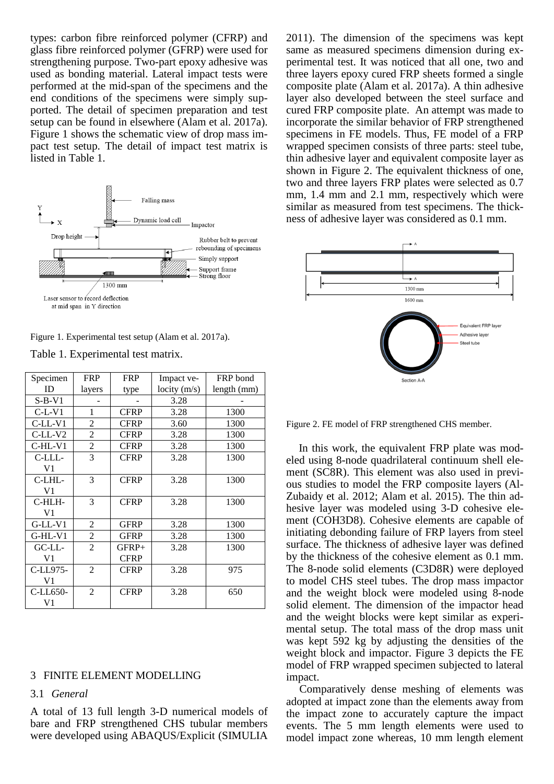types: carbon fibre reinforced polymer (CFRP) and glass fibre reinforced polymer (GFRP) were used for strengthening purpose. Two-part epoxy adhesive was used as bonding material. Lateral impact tests were performed at the mid-span of the specimens and the end conditions of the specimens were simply supported. The detail of specimen preparation and test setup can be found in elsewhere (Alam et al. 2017a). Figure 1 shows the schematic view of drop mass impact test setup. The detail of impact test matrix is listed in Table 1.



Figure 1. Experimental test setup (Alam et al. 2017a).

Table 1. Experimental test matrix.

| Specimen          | <b>FRP</b>     | <b>FRP</b>             | Impact ve-  | FRP bond    |
|-------------------|----------------|------------------------|-------------|-------------|
| ID                | layers         | type                   | locity(m/s) | length (mm) |
| $S-B-V1$          |                |                        | 3.28        |             |
| $C-L-V1$          | 1              | <b>CFRP</b>            | 3.28        | 1300        |
| $C-LL-V1$         | $\overline{c}$ | <b>CFRP</b>            | 3.60        | 1300        |
| $C-LL-V2$         | $\overline{2}$ | <b>CFRP</b>            | 3.28        | 1300        |
| $C-HL-V1$         | 2              | <b>CFRP</b>            | 3.28        | 1300        |
| C-LLL-<br>V1      | 3              | <b>CFRP</b>            | 3.28        | 1300        |
| $C$ -LHL-<br>V1   | 3              | <b>CFRP</b>            | 3.28        | 1300        |
| C-HLH-<br>V1      | 3              | <b>CFRP</b>            | 3.28        | 1300        |
| $G-LL-V1$         | $\overline{2}$ | <b>GFRP</b>            | 3.28        | 1300        |
| $G-HL-V1$         | 2              | <b>GFRP</b>            | 3.28        | 1300        |
| GCLL<br>V1        | $\overline{2}$ | $GFRP+$<br><b>CFRP</b> | 3.28        | 1300        |
| C-LL975-<br>V1    | $\overline{2}$ | <b>CFRP</b>            | 3.28        | 975         |
| $C-LL$ 650-<br>V1 | $\overline{2}$ | <b>CFRP</b>            | 3.28        | 650         |

#### 3 FINITE ELEMENT MODELLING

#### 3.1 *General*

A total of 13 full length 3-D numerical models of bare and FRP strengthened CHS tubular members were developed using ABAQUS/Explicit (SIMULIA

2011). The dimension of the specimens was kept same as measured specimens dimension during experimental test. It was noticed that all one, two and three layers epoxy cured FRP sheets formed a single composite plate (Alam et al. 2017a). A thin adhesive layer also developed between the steel surface and cured FRP composite plate. An attempt was made to incorporate the similar behavior of FRP strengthened specimens in FE models. Thus, FE model of a FRP wrapped specimen consists of three parts: steel tube, thin adhesive layer and equivalent composite layer as shown in Figure 2. The equivalent thickness of one, two and three layers FRP plates were selected as 0.7 mm, 1.4 mm and 2.1 mm, respectively which were similar as measured from test specimens. The thickness of adhesive layer was considered as 0.1 mm.



Figure 2. FE model of FRP strengthened CHS member.

In this work, the equivalent FRP plate was modeled using 8-node quadrilateral continuum shell element (SC8R). This element was also used in previous studies to model the FRP composite layers (Al-Zubaidy et al. 2012; Alam et al. 2015). The thin adhesive layer was modeled using 3-D cohesive element (COH3D8). Cohesive elements are capable of initiating debonding failure of FRP layers from steel surface. The thickness of adhesive layer was defined by the thickness of the cohesive element as 0.1 mm. The 8-node solid elements (C3D8R) were deployed to model CHS steel tubes. The drop mass impactor and the weight block were modeled using 8-node solid element. The dimension of the impactor head and the weight blocks were kept similar as experimental setup. The total mass of the drop mass unit was kept 592 kg by adjusting the densities of the weight block and impactor. Figure 3 depicts the FE model of FRP wrapped specimen subjected to lateral impact.

Comparatively dense meshing of elements was adopted at impact zone than the elements away from the impact zone to accurately capture the impact events. The 5 mm length elements were used to model impact zone whereas, 10 mm length element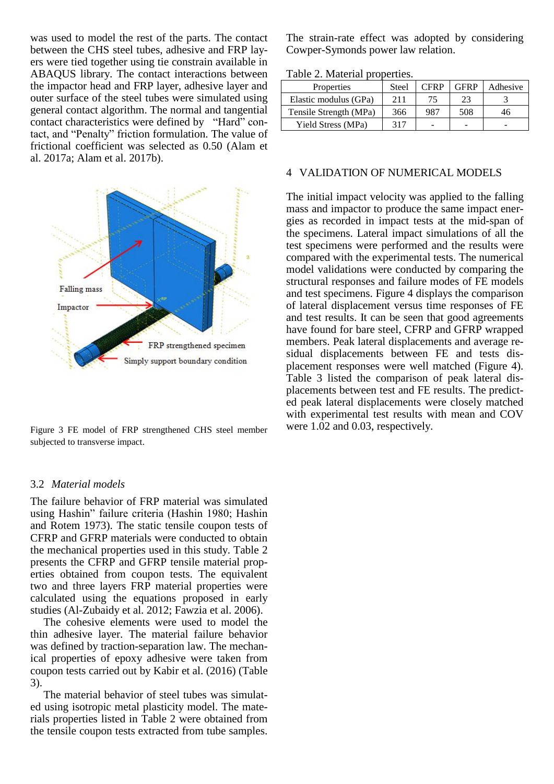was used to model the rest of the parts. The contact between the CHS steel tubes, adhesive and FRP layers were tied together using tie constrain available in ABAQUS library. The contact interactions between the impactor head and FRP layer, adhesive layer and outer surface of the steel tubes were simulated using general contact algorithm. The normal and tangential contact characteristics were defined by "Hard" contact, and "Penalty" friction formulation. The value of frictional coefficient was selected as 0.50 (Alam et al. 2017a; Alam et al. 2017b).



Figure 3 FE model of FRP strengthened CHS steel member subjected to transverse impact.

#### 3.2 *Material models*

The failure behavior of FRP material was simulated using Hashin" failure criteria (Hashin 1980; Hashin and Rotem 1973). The static tensile coupon tests of CFRP and GFRP materials were conducted to obtain the mechanical properties used in this study. Table 2 presents the CFRP and GFRP tensile material properties obtained from coupon tests. The equivalent two and three layers FRP material properties were calculated using the equations proposed in early studies (Al-Zubaidy et al. 2012; Fawzia et al. 2006).

The cohesive elements were used to model the thin adhesive layer. The material failure behavior was defined by traction-separation law. The mechanical properties of epoxy adhesive were taken from coupon tests carried out by Kabir et al. (2016) (Table 3).

The material behavior of steel tubes was simulated using isotropic metal plasticity model. The materials properties listed in Table 2 were obtained from the tensile coupon tests extracted from tube samples.

The strain-rate effect was adopted by considering Cowper-Symonds power law relation.

Table 2. Material properties.

| Properties             | Steel | <b>CFRP</b> | <b>GFRP</b> | Adhesive |
|------------------------|-------|-------------|-------------|----------|
| Elastic modulus (GPa)  | 211   | 75          | 23          |          |
| Tensile Strength (MPa) | 366   | 987         | 508         | 46       |
| Yield Stress (MPa)     | 317   |             |             |          |

#### 4 VALIDATION OF NUMERICAL MODELS

The initial impact velocity was applied to the falling mass and impactor to produce the same impact energies as recorded in impact tests at the mid-span of the specimens. Lateral impact simulations of all the test specimens were performed and the results were compared with the experimental tests. The numerical model validations were conducted by comparing the structural responses and failure modes of FE models and test specimens. Figure 4 displays the comparison of lateral displacement versus time responses of FE and test results. It can be seen that good agreements have found for bare steel, CFRP and GFRP wrapped members. Peak lateral displacements and average residual displacements between FE and tests displacement responses were well matched (Figure 4). Table 3 listed the comparison of peak lateral displacements between test and FE results. The predicted peak lateral displacements were closely matched with experimental test results with mean and COV were 1.02 and 0.03, respectively.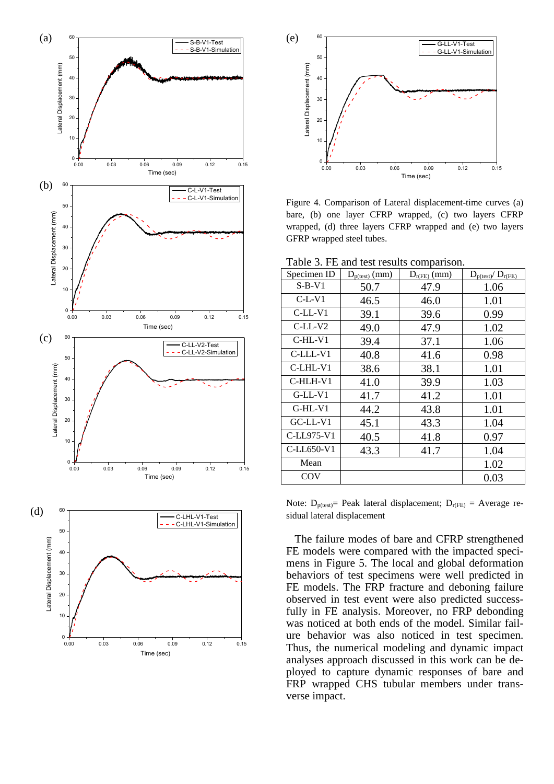



Figure 4. Comparison of Lateral displacement -time curves (a) bare, (b) one layer CFRP wrapped, (c) two layers CFRP wrapped, (d) three layers CFRP wrapped and (e) two layers GFRP wrapped steel tubes.

Table 3. FE and test results comparison.

|             |                    | $10000$ $\sigma$ . The and toot results comparison. |                          |
|-------------|--------------------|-----------------------------------------------------|--------------------------|
| Specimen ID | $D_{p(test)}$ (mm) | $D_{r(FE)}$ (mm)                                    | $D_{p(test)}/ D_{r(FE)}$ |
| $S-B-V1$    | 50.7               | 47.9                                                | 1.06                     |
| $C-L-V1$    | 46.5               | 46.0                                                | 1.01                     |
| $C-LL-V1$   | 39.1               | 39.6                                                | 0.99                     |
| $C-LL-V2$   | 49.0               | 47.9                                                | 1.02                     |
| $C-HL-V1$   | 39.4               | 37.1                                                | 1.06                     |
| C-LLL-V1    | 40.8               | 41.6                                                | 0.98                     |
| C-LHL-V1    | 38.6               | 38.1                                                | 1.01                     |
| $C$ -HLH-V1 | 41.0               | 39.9                                                | 1.03                     |
| $G-LL-V1$   | 41.7               | 41.2                                                | 1.01                     |
| $G-HL-V1$   | 44.2               | 43.8                                                | 1.01                     |
| $G$ C-LL-V1 | 45.1               | 43.3                                                | 1.04                     |
| C-LL975-V1  | 40.5               | 41.8                                                | 0.97                     |
| C-LL650-V1  | 43.3               | 41.7                                                | 1.04                     |
| Mean        |                    |                                                     | 1.02                     |
| <b>COV</b>  |                    |                                                     | 0.03                     |

Note:  $D_{p(test)}$ = Peak lateral displacement;  $D_{r(FE)}$  = Average residual lateral displacement

The failure modes of bare and CFRP strengthened FE models were compared with the impacted specimens in Figure 5. The local and global deformation behaviors of test specimens were well predicted in FE models. The FRP fracture and deboning failure observed in test event were also predicted successfully in FE analysis. Moreover, no FRP debonding was noticed at both ends of the model. Similar failure behavior was also noticed in test specimen. Thus, the numerical modeling and dynamic impact analyses approach discussed in this work can be deployed to capture dynamic responses of bare and FRP wrapped CHS tubular members under transverse impact.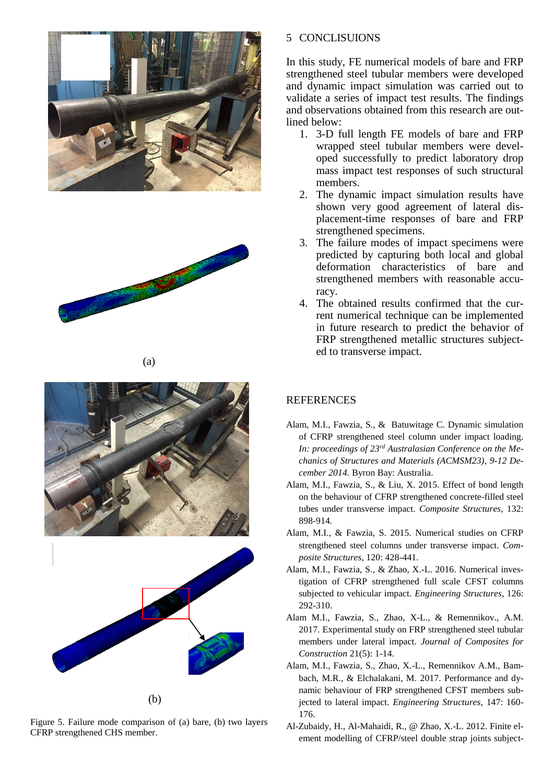







Figure 5. Failure mode comparison of (a) bare, (b) two layers CFRP strengthened CHS member.

## 5 CONCLISUIONS

In this study, FE numerical models of bare and FRP strengthened steel tubular members were developed and dynamic impact simulation was carried out to validate a series of impact test results. The findings and observations obtained from this research are outlined below:

- 1. 3-D full length FE models of bare and FRP wrapped steel tubular members were developed successfully to predict laboratory drop mass impact test responses of such structural members.
- 2. The dynamic impact simulation results have shown very good agreement of lateral displacement-time responses of bare and FRP strengthened specimens.
- 3. The failure modes of impact specimens were predicted by capturing both local and global deformation characteristics of bare and strengthened members with reasonable accuracy.
- 4. The obtained results confirmed that the current numerical technique can be implemented in future research to predict the behavior of FRP strengthened metallic structures subjected to transverse impact.

# REFERENCES

- Alam, M.I., Fawzia, S., & Batuwitage C. Dynamic simulation of CFRP strengthened steel column under impact loading. *In: proceedings of 23rd Australasian Conference on the Mechanics of Structures and Materials (ACMSM23)*, *9-12 December 2014.* Byron Bay: Australia.
- Alam, M.I., Fawzia, S., & Liu, X. 2015. Effect of bond length on the behaviour of CFRP strengthened concrete-filled steel tubes under transverse impact. *Composite Structures*, 132: 898-914.
- Alam, M.I., & Fawzia, S. 2015. Numerical studies on CFRP strengthened steel columns under transverse impact. *Composite Structures*, 120: 428-441.
- Alam, M.I., Fawzia, S., & Zhao, X.-L. 2016. Numerical investigation of CFRP strengthened full scale CFST columns subjected to vehicular impact. *Engineering Structures*, 126: 292-310.
- Alam M.I., Fawzia, S., Zhao, X-L., & Remennikov., A.M. 2017. Experimental study on FRP strengthened steel tubular members under lateral impact. *Journal of Composites for Construction* 21(5): 1-14.
- Alam, M.I., Fawzia, S., Zhao, X.-L., Remennikov A.M., Bambach, M.R., & Elchalakani, M. 2017. Performance and dynamic behaviour of FRP strengthened CFST members subjected to lateral impact. *Engineering Structures*, 147: 160- 176.
- Al-Zubaidy, H., Al-Mahaidi, R., @ Zhao, X.-L. 2012. Finite element modelling of CFRP/steel double strap joints subject-